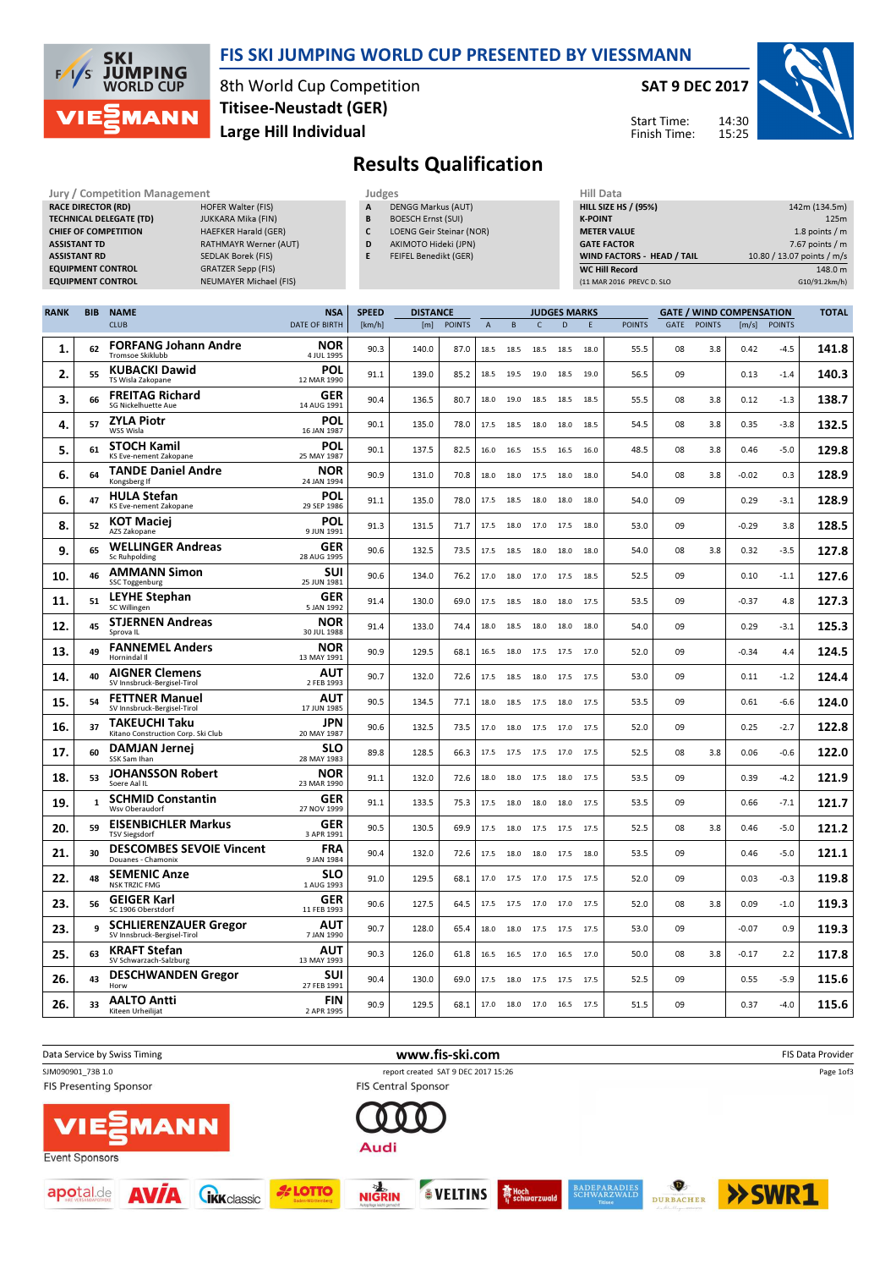

 $17. 60$ 

 $18.$  53

 $19. 11$ 

 $20.$  59

 $21.$  30

 $22.$  48

 $23. 56$ 

 $23.$  9

 $25.$  63

 $26.$  43

 $26.$  33

SSK Sam Ihan DAMJAN Jernej

Soere Aal IL

TSV Siegsdorf

Wsv Oberaudorf SCHMID Constantin

Douanes - Chamonix

SC 1906 Oberstdorf GEIGER Karl

SV Schwarzach-Salzburg KRAFT Stefan

en Urheilijat AALTO Antti

Horw

NSK TRZIC FMG SEMENIC Anze

JOHANSSON Robert

EISENBICHLER Markus

bruck-Bergisel-Tiro SCHLIERENZAUER Gregor

DESCHWANDEN Gregor

DESCOMBES SEVOIE Vincent

#### FIS SKI JUMPING WORLD CUP PRESENTED BY VIESSMANN

8th World Cup Competition Large Hill Individual Titisee-Neustadt (GER)

Jury / Competition Management **Accord Paragement** Judges and Judges and Hill Data

#### SAT 9 DEC 2017

Start Time: Finish Time:

**SLO** 89.8 128.5 66.3 17.5 17.5 17.0 17.5 52.5 08 3.8 0.06 -0.6 122.0

**NOR** 91.1 132.0 72.6 18.0 18.0 17.5 18.0 17.5 53.5 09 0.39 -4.2 121.9

**GER** 91.1 133.5 75.3 17.5 18.0 18.0 18.0 17.5 53.5 09 0.66 -7.1 121.7

**GER** 90.5 130.5 69.9 17.5 18.0 17.5 17.5 17.5 52.5 08 3.8 0.46 -5.0 121.2

**FRA** 90.4 132.0 72.6 17.5 18.0 18.0 17.5 18.0 53.5 09 0.46 -5.0 121.1

**SLO** 91.0 129.5 68.1 17.0 17.5 17.0 17.5 17.5 52.0 09 0.03 -0.3 119.8

**GER** 90.6 127.5 64.5 17.5 17.5 17.0 17.5 52.0 08 3.8 0.09 -1.0 119.3

AUT 90.7 128.0 65.4 18.0 18.0 17.5 17.5 17.5 53.0 09 -0.07 0.9 119.3

AUT 90.3 126.0 61.8 16.5 16.5 17.0 16.5 17.0 50.0 08 3.8 -0.17 2.2 117.8

**SUI** 90.4 130.0 69.0 17.5 18.0 17.5 17.5 17.5 52.5 09 0.55 -5.9 115.6

**FIN** 90.9 129.5 68.1 17.0 18.0 17.0 16.5 17.5 51.5 09 0.37 -4.0 115.6



142m (134.5m)

TOTAL

# Results Qualification

|             | <b>RACE DIRECTOR (RD)</b><br><b>ASSISTANT TD</b><br><b>ASSISTANT RD</b> | <b>TECHNICAL DELEGATE (TD)</b><br><b>CHIEF OF COMPETITION</b><br><b>EQUIPMENT CONTROL</b><br><b>EQUIPMENT CONTROL</b> | <b>HOFER Walter (FIS)</b><br><b>JUKKARA Mika (FIN)</b><br><b>HAEFKER Harald (GER)</b><br>RATHMAYR Werner (AUT)<br><b>SEDLAK Borek (FIS)</b><br><b>GRATZER Sepp (FIS)</b><br><b>NEUMAYER Michael (FIS)</b> |                           | А<br>B<br>C<br>D<br>E | <b>DENGG Markus (AUT)</b><br><b>BOESCH Ernst (SUI)</b><br><b>LOENG Geir Steinar (NOR)</b><br>AKIMOTO Hideki (JPN)<br>FEIFEL Benedikt (GER) |            |                |              |                          |                     | <b>K-POINT</b> | <b>HILL SIZE HS / (95%)</b><br><b>METER VALUE</b><br><b>GATE FACTOR</b><br>WIND FACTORS - HEAD / TAIL<br><b>WC Hill Record</b><br>(11 MAR 2016 PREVC D. SLO |    | 142m (134.5m)<br>1.8 points / m<br>7.67 points / $m$<br>10.80 / 13.07 points / m/s<br>148.0 m<br>G10/91.2km/h) |         |                |              |  |
|-------------|-------------------------------------------------------------------------|-----------------------------------------------------------------------------------------------------------------------|-----------------------------------------------------------------------------------------------------------------------------------------------------------------------------------------------------------|---------------------------|-----------------------|--------------------------------------------------------------------------------------------------------------------------------------------|------------|----------------|--------------|--------------------------|---------------------|----------------|-------------------------------------------------------------------------------------------------------------------------------------------------------------|----|----------------------------------------------------------------------------------------------------------------|---------|----------------|--------------|--|
| <b>RANK</b> | <b>BIB</b>                                                              | <b>NAME</b>                                                                                                           |                                                                                                                                                                                                           | <b>NSA</b>                | <b>SPEED</b>          | <b>DISTANCE</b>                                                                                                                            |            |                |              |                          | <b>JUDGES MARKS</b> |                |                                                                                                                                                             |    | <b>GATE / WIND COMPENSATION</b>                                                                                |         |                | <b>TOTAL</b> |  |
|             |                                                                         | <b>CLUB</b>                                                                                                           |                                                                                                                                                                                                           | <b>DATE OF BIRTH</b>      | [km/h]                |                                                                                                                                            | [m] POINTS | $\overline{A}$ | $\mathsf{B}$ | $\mathsf{C}$             | D                   | F.             | <b>POINTS</b>                                                                                                                                               |    | <b>GATE POINTS</b>                                                                                             |         | $[m/s]$ POINTS |              |  |
| 1.          | 62                                                                      | <b>FORFANG Johann Andre</b><br>Tromsoe Skiklubb                                                                       |                                                                                                                                                                                                           | <b>NOR</b><br>4 JUL 1995  | 90.3                  | 140.0                                                                                                                                      | 87.0       | 18.5           | 18.5         | 18.5 18.5                |                     | 18.0           | 55.5                                                                                                                                                        | 08 | 3.8                                                                                                            | 0.42    | $-4.5$         | 141.8        |  |
| 2.          | 55                                                                      | <b>KUBACKI Dawid</b><br>TS Wisla Zakopane                                                                             |                                                                                                                                                                                                           | POL<br>12 MAR 1990        | 91.1                  | 139.0                                                                                                                                      | 85.2       | 18.5           | 19.5         | 19.0 18.5 19.0           |                     |                | 56.5                                                                                                                                                        | 09 |                                                                                                                | 0.13    | $-1.4$         | 140.3        |  |
| 3.          | 66                                                                      | <b>FREITAG Richard</b><br><b>SG Nickelhuette Aue</b>                                                                  |                                                                                                                                                                                                           | <b>GER</b><br>14 AUG 1991 | 90.4                  | 136.5                                                                                                                                      | 80.7       | 18.0           | 19.0         | 18.5 18.5                |                     | 18.5           | 55.5                                                                                                                                                        | 08 | 3.8                                                                                                            | 0.12    | $-1.3$         | 138.7        |  |
| 4.          | 57                                                                      | <b>ZYLA Piotr</b><br>WSS Wisla                                                                                        |                                                                                                                                                                                                           | <b>POL</b><br>16 JAN 1987 | 90.1                  | 135.0                                                                                                                                      | 78.0       | 17.5           | 18.5         | 18.0 18.0 18.5           |                     |                | 54.5                                                                                                                                                        | 08 | 3.8                                                                                                            | 0.35    | $-3.8$         | 132.5        |  |
| 5.          | 61                                                                      | <b>STOCH Kamil</b><br>KS Eve-nement Zakopane                                                                          |                                                                                                                                                                                                           | <b>POL</b><br>25 MAY 1987 | 90.1                  | 137.5                                                                                                                                      | 82.5       | 16.0           |              | 16.5 15.5 16.5           |                     | 16.0           | 48.5                                                                                                                                                        | 08 | 3.8                                                                                                            | 0.46    | $-5.0$         | 129.8        |  |
| 6.          | 64                                                                      | <b>TANDE Daniel Andre</b><br>Kongsberg If                                                                             |                                                                                                                                                                                                           | <b>NOR</b><br>24 JAN 1994 | 90.9                  | 131.0                                                                                                                                      | 70.8       | 18.0           | 18.0         | 17.5 18.0                |                     | 18.0           | 54.0                                                                                                                                                        | 08 | 3.8                                                                                                            | $-0.02$ | 0.3            | 128.9        |  |
| 6.          | 47                                                                      | <b>HULA Stefan</b><br>KS Eve-nement Zakopane                                                                          |                                                                                                                                                                                                           | <b>POL</b><br>29 SEP 1986 | 91.1                  | 135.0                                                                                                                                      | 78.0       | 17.5           | 18.5         | 18.0 18.0                |                     | 18.0           | 54.0                                                                                                                                                        | 09 |                                                                                                                | 0.29    | $-3.1$         | 128.9        |  |
| 8.          | 52                                                                      | <b>KOT Maciei</b><br>AZS Zakopane                                                                                     |                                                                                                                                                                                                           | <b>POL</b><br>9 JUN 1991  | 91.3                  | 131.5                                                                                                                                      | 71.7       | 17.5           |              | 18.0 17.0 17.5 18.0      |                     |                | 53.0                                                                                                                                                        | 09 |                                                                                                                | $-0.29$ | 3.8            | 128.5        |  |
| 9.          | 65                                                                      | <b>WELLINGER Andreas</b><br>Sc Ruhpolding                                                                             |                                                                                                                                                                                                           | <b>GER</b><br>28 AUG 1995 | 90.6                  | 132.5                                                                                                                                      | 73.5       | 17.5           |              | 18.5 18.0 18.0           |                     | 18.0           | 54.0                                                                                                                                                        | 08 | 3.8                                                                                                            | 0.32    | $-3.5$         | 127.8        |  |
| 10.         | 46                                                                      | <b>AMMANN Simon</b><br><b>SSC Toggenburg</b>                                                                          |                                                                                                                                                                                                           | <b>SUI</b><br>25 JUN 1981 | 90.6                  | 134.0                                                                                                                                      | 76.2       | 17.0           | 18.0         | 17.0 17.5 18.5           |                     |                | 52.5                                                                                                                                                        | 09 |                                                                                                                | 0.10    | $-1.1$         | 127.6        |  |
| 11.         | 51                                                                      | <b>LEYHE Stephan</b><br>SC Willingen                                                                                  |                                                                                                                                                                                                           | <b>GER</b><br>5 JAN 1992  | 91.4                  | 130.0                                                                                                                                      | 69.0       | 17.5           | 18.5         | 18.0 18.0                |                     | 17.5           | 53.5                                                                                                                                                        | 09 |                                                                                                                | $-0.37$ | 4.8            | 127.3        |  |
| 12.         | 45                                                                      | <b>STJERNEN Andreas</b><br>Sprova IL                                                                                  |                                                                                                                                                                                                           | <b>NOR</b><br>30 JUL 1988 | 91.4                  | 133.0                                                                                                                                      | 74.4       | 18.0           | 18.5         | 18.0 18.0                |                     | 18.0           | 54.0                                                                                                                                                        | 09 |                                                                                                                | 0.29    | $-3.1$         | 125.3        |  |
| 13.         | 49                                                                      | <b>FANNEMEL Anders</b><br>Hornindal II                                                                                |                                                                                                                                                                                                           | <b>NOR</b><br>13 MAY 1991 | 90.9                  | 129.5                                                                                                                                      | 68.1       | 16.5           |              | 18.0 17.5 17.5 17.0      |                     |                | 52.0                                                                                                                                                        | 09 |                                                                                                                | $-0.34$ | 4.4            | 124.5        |  |
| 14.         | 40                                                                      | <b>AIGNER Clemens</b><br>SV Innsbruck-Bergisel-Tirol                                                                  |                                                                                                                                                                                                           | <b>AUT</b><br>2 FEB 1993  | 90.7                  | 132.0                                                                                                                                      | 72.6       | 17.5           | 18.5         | 18.0 17.5 17.5           |                     |                | 53.0                                                                                                                                                        | 09 |                                                                                                                | 0.11    | $-1.2$         | 124.4        |  |
| 15.         | 54                                                                      | <b>FETTNER Manuel</b><br>SV Innsbruck-Bergisel-Tirol                                                                  |                                                                                                                                                                                                           | <b>AUT</b><br>17 JUN 1985 | 90.5                  | 134.5                                                                                                                                      | 77.1       | 18.0           | 18.5         | 17.5 18.0                |                     | 17.5           | 53.5                                                                                                                                                        | 09 |                                                                                                                | 0.61    | $-6.6$         | 124.0        |  |
| 16.         | 37                                                                      | <b>TAKEUCHI Taku</b><br>Kitano Construction Corp. Ski Club                                                            |                                                                                                                                                                                                           | <b>JPN</b><br>20 MAY 1987 | 90.6                  | 132.5                                                                                                                                      | 73.5       |                |              | 17.0 18.0 17.5 17.0 17.5 |                     |                | 52.0                                                                                                                                                        | 09 |                                                                                                                | 0.25    | $-2.7$         | 122.8        |  |

28 MAY 1983

23 MAR 1990

GER<br>27 NOV 1999

**GER**<br>3 APR 1991

**FRA**<br>9 JAN 1984

**SLO**<br>1 AUG 1993

GER<br>11 FEB 1993

**AUT** 

**AUT**<br>13 MAY 1993

**SUI**<br>27 FEB 1991

2 APR 1995

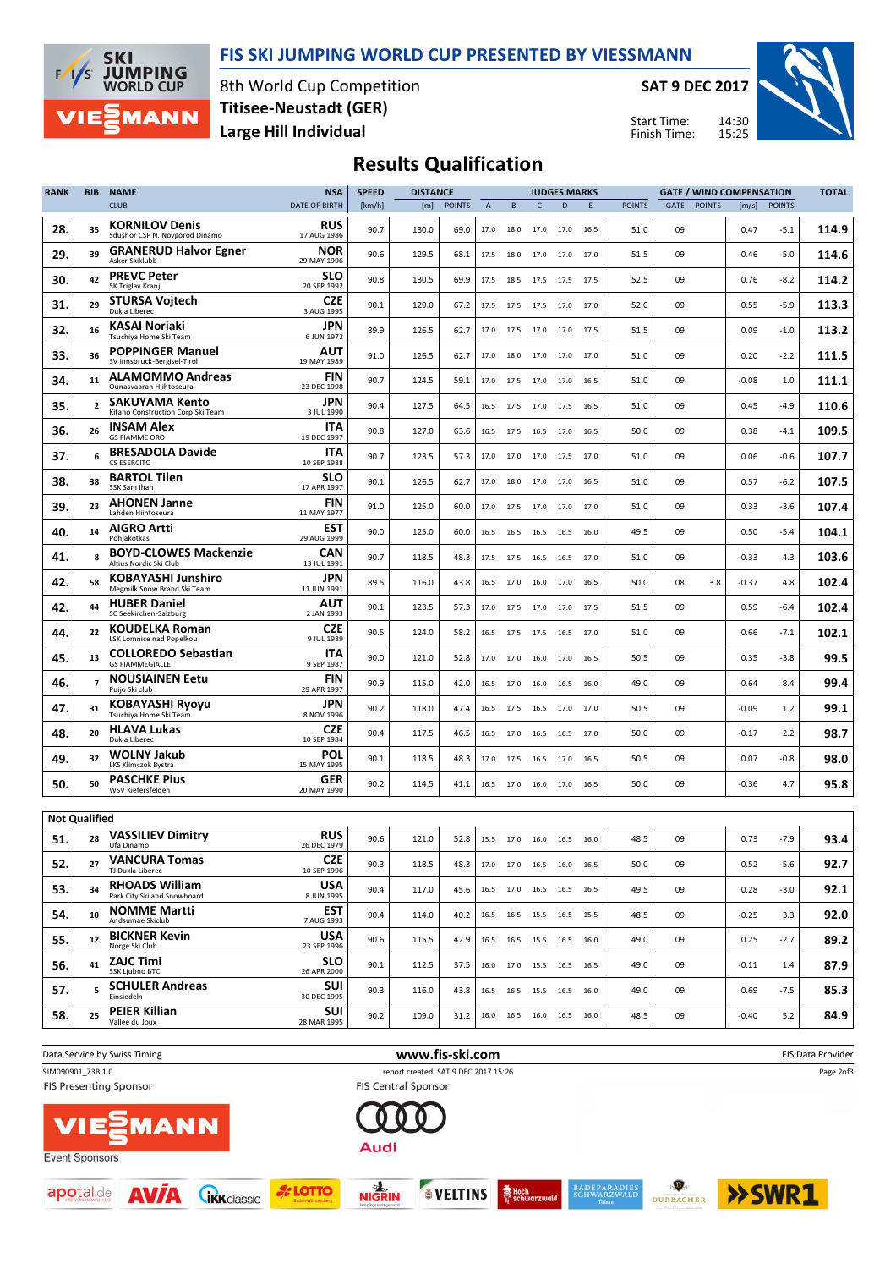



8th World Cup Competition Large Hill Individual Titisee-Neustadt (GER)

SAT 9 DEC 2017

Start Time: Finish Time:



## Results Qualification

| <b>RANK</b>          | BIB            | <b>NAME</b>                                              | <b>NSA</b>                | <b>SPEED</b> | <b>DISTANCE</b> |               |                | <b>JUDGES MARKS</b> |              |                              |        | <b>GATE / WIND COMPENSATION</b> |             |               |         | <b>TOTAL</b>  |       |
|----------------------|----------------|----------------------------------------------------------|---------------------------|--------------|-----------------|---------------|----------------|---------------------|--------------|------------------------------|--------|---------------------------------|-------------|---------------|---------|---------------|-------|
|                      |                | <b>CLUB</b>                                              | DATE OF BIRTH             | [km/h]       | [m]             | <b>POINTS</b> | $\overline{A}$ | B                   | $\mathsf{C}$ | D                            | E      | <b>POINTS</b>                   | <b>GATE</b> | <b>POINTS</b> | [m/s]   | <b>POINTS</b> |       |
| 28.                  | 35             | <b>KORNILOV Denis</b><br>Sdushor CSP N. Novgorod Dinamo  | <b>RUS</b><br>17 AUG 1986 | 90.7         | 130.0           | 69.0          | 17.0           | 18.0                |              | 17.0 17.0 16.5               |        | 51.0                            | 09          |               | 0.47    | -5.1          | 114.9 |
| 29.                  | 39             | <b>GRANERUD Halvor Egner</b><br>Asker Skiklubb           | <b>NOR</b><br>29 MAY 1996 | 90.6         | 129.5           | 68.1          | 17.5           | 18.0                | 17.0         | 17.0 17.0                    |        | 51.5                            | 09          |               | 0.46    | -5.0          | 114.6 |
| 30.                  | 42             | <b>PREVC Peter</b><br>SK Triglav Kranj                   | SLO<br>20 SEP 1992        | 90.8         | 130.5           | 69.9          | 17.5           | 18.5                | 17.5 17.5    |                              | 17.5   | 52.5                            | 09          |               | 0.76    | $-8.2$        | 114.2 |
| 31.                  | 29             | STURSA Vojtech<br>Dukla Liberec                          | <b>CZE</b><br>3 AUG 1995  | 90.1         | 129.0           | 67.2          | 17.5           | 17.5                |              | 17.5 17.0 17.0               |        | 52.0                            | 09          |               | 0.55    | -5.9          | 113.3 |
| 32.                  | 16             | KASAI Noriaki<br>Tsuchiva Home Ski Team                  | JPN<br>6 JUN 1972         | 89.9         | 126.5           | 62.7          | 17.0           | 17.5                |              | 17.0 17.0 17.5               |        | 51.5                            | 09          |               | 0.09    | $-1.0$        | 113.2 |
| 33.                  | 36             | <b>POPPINGER Manuel</b><br>SV Innsbruck-Bergisel-Tirol   | AUT<br>19 MAY 1989        | 91.0         | 126.5           | 62.7          | 17.0           | 18.0                | 17.0         | 17.0 17.0                    |        | 51.0                            | 09          |               | 0.20    | $-2.2$        | 111.5 |
| 34.                  | 11             | <b>ALAMOMMO Andreas</b><br>Ounasvaaran Hiihtoseura       | FIN<br>23 DEC 1998        | 90.7         | 124.5           | 59.1          | 17.0           | 17.5                | 17.0         | 17.0 16.5                    |        | 51.0                            | 09          |               | -0.08   | $1.0$         | 111.1 |
| 35.                  | $\overline{2}$ | SAKUYAMA Kento<br>Kitano Construction Corp. Ski Team     | JPN<br>3 JUL 1990         | 90.4         | 127.5           | 64.5          | 16.5           | 17.5                | 17.0         | 17.5                         | 16.5   | 51.0                            | 09          |               | 0.45    | -4.9          | 110.6 |
| 36.                  | 26             | <b>INSAM Alex</b><br><b>GS FIAMME ORO</b>                | <b>ITA</b><br>19 DEC 1997 | 90.8         | 127.0           | 63.6          | 16.5           | 17.5                |              | 16.5 17.0 16.5               |        | 50.0                            | 09          |               | 0.38    | -4.1          | 109.5 |
| 37.                  | 6              | <b>BRESADOLA Davide</b><br><b>CS ESERCITO</b>            | <b>ITA</b><br>10 SEP 1988 | 90.7         | 123.5           | 57.3          | 17.0           | 17.0                |              | 17.0 17.5 17.0               |        | 51.0                            | 09          |               | 0.06    | $-0.6$        | 107.7 |
| 38.                  | 38             | <b>BARTOL Tilen</b><br>SSK Sam Ihan                      | <b>SLO</b><br>17 APR 1997 | 90.1         | 126.5           | 62.7          | 17.0           | 18.0                | 17.0         | 17.0                         | - 16.5 | 51.0                            | 09          |               | 0.57    | $-6.2$        | 107.5 |
| 39.                  | 23             | <b>AHONEN Janne</b><br>Lahden Hiihtoseura                | FIN<br>11 MAY 1977        | 91.0         | 125.0           | 60.0          | 17.0           | 17.5                | 17.0         | 17.0                         | 17.0   | 51.0                            | 09          |               | 0.33    | -3.6          | 107.4 |
| 40.                  | 14             | <b>AIGRO Artti</b><br>Pohjakotkas                        | <b>EST</b><br>29 AUG 1999 | 90.0         | 125.0           | 60.0          | 16.5           | 16.5                | 16.5         | 16.5                         | 16.0   | 49.5                            | 09          |               | 0.50    | -5.4          | 104.1 |
| 41.                  |                | <b>BOYD-CLOWES Mackenzie</b><br>Altius Nordic Ski Club   | CAN<br>13 JUL 1991        | 90.7         | 118.5           | 48.3          | 17.5           | 17.5                |              | 16.5 16.5 17.0               |        | 51.0                            | 09          |               | $-0.33$ | 4.3           | 103.6 |
| 42.                  | 58             | KOBAYASHI Junshiro<br>Megmilk Snow Brand Ski Team        | JPN<br>11 JUN 1991        | 89.5         | 116.0           | 43.8          | 16.5           | 17.0                | 16.0         | 17.0 16.5                    |        | 50.0                            | 08          | 3.8           | -0.37   | 4.8           | 102.4 |
| 42.                  | 44             | <b>HUBER Daniel</b><br>SC Seekirchen-Salzburg            | AUT<br>2 JAN 1993         | 90.1         | 123.5           | 57.3          | 17.0           | 17.5                | 17.0         | 17.0                         | 17.5   | 51.5                            | 09          |               | 0.59    | -6.4          | 102.4 |
| 44.                  | 22             | <b>KOUDELKA Roman</b><br><b>LSK Lomnice nad Popelkou</b> | <b>CZE</b><br>9 JUL 1989  | 90.5         | 124.0           | 58.2          | 16.5           | 17.5                | 17.5         | 16.5                         | 17.0   | 51.0                            | 09          |               | 0.66    | $-7.1$        | 102.1 |
| 45.                  | 13             | <b>COLLOREDO Sebastian</b><br><b>GS FIAMMEGIALLE</b>     | ITA<br>9 SEP 1987         | 90.0         | 121.0           | 52.8          | 17.0           | 17.0                | 16.0         | 17.0                         | 16.5   | 50.5                            | 09          |               | 0.35    | $-3.8$        | 99.5  |
| 46.                  | $\overline{7}$ | <b>NOUSIAINEN Eetu</b><br>Puijo Ski club                 | FIN<br>29 APR 1997        | 90.9         | 115.0           | 42.0          | 16.5           | 17.0                | 16.0         | 16.5 16.0                    |        | 49.0                            | 09          |               | -0.64   | 8.4           | 99.4  |
| 47.                  | 31             | KOBAYASHI Ryoyu<br>Tsuchiya Home Ski Team                | JPN<br>8 NOV 1996         | 90.2         | 118.0           | 47.4          | 16.5           | 17.5                | 16.5         | 17.0                         | 17.0   | 50.5                            | 09          |               | $-0.09$ | 1.2           | 99.1  |
| 48.                  | 20             | <b>HLAVA Lukas</b><br>Dukla Liberec                      | <b>CZE</b><br>10 SEP 1984 | 90.4         | 117.5           | 46.5          | 16.5           | 17.0                |              | 16.5 16.5 17.0               |        | 50.0                            | 09          |               | -0.17   | 2.2           | 98.7  |
| 49.                  | 32             | WOLNY Jakub<br><b>LKS Klimczok Bystra</b>                | POL<br>15 MAY 1995        | 90.1         | 118.5           | 48.3          | 17.0           | 17.5                | 16.5         | 17.0                         | 16.5   | 50.5                            | 09          |               | 0.07    | $-0.8$        | 98.0  |
| 50.                  | 50             | <b>PASCHKE Pius</b><br>WSV Kiefersfelden                 | <b>GER</b><br>20 MAY 1990 | 90.2         | 114.5           | 41.1          |                |                     |              | 16.5 17.0 16.0 17.0 16.5     |        | 50.0                            | 09          |               | $-0.36$ | 4.7           | 95.8  |
| <b>Not Qualified</b> |                |                                                          |                           |              |                 |               |                |                     |              |                              |        |                                 |             |               |         |               |       |
| 51.                  | 28             | <b>VASSILIEV Dimitry</b><br>Ufa Dinamo                   | <b>RUS</b><br>26 DEC 1979 | 90.6         | 121.0           | 52.8          | 15.5           |                     |              | 17.0 16.0 16.5 16.0          |        | 48.5                            | 09          |               | 0.73    | $-7.9$        | 93.4  |
| 52.                  | 27             | <b>VANCURA Tomas</b><br>TJ Dukla Liberec                 | <b>CZE</b><br>10 SEP 1996 | 90.3         | 118.5           | 48.3          |                |                     |              | 17.0 17.0 16.5 16.0 16.5     |        | 50.0                            | 09          |               | 0.52    | $-5.6$        | 92.7  |
| 53.                  | 34             | <b>RHOADS William</b><br>Park City Ski and Snowboard     | <b>USA</b><br>8 JUN 1995  | 90.4         | 117.0           | 45.6          |                |                     |              | 16.5 17.0 16.5 16.5 16.5     |        | 49.5                            | 09          |               | 0.28    | $-3.0$        | 92.1  |
| 54.                  | 10             | <b>NOMME Martti</b><br>Andsumae Skiclub                  | <b>EST</b><br>7 AUG 1993  | 90.4         | 114.0           | 40.2          |                |                     |              | 16.5 16.5 15.5 16.5 15.5     |        | 48.5                            | 09          |               | $-0.25$ | 3.3           | 92.0  |
| 55.                  | 12             | <b>BICKNER Kevin</b><br>Norge Ski Club                   | <b>USA</b><br>23 SEP 1996 | 90.6         | 115.5           | 42.9          |                |                     |              | 16.5 16.5 15.5 16.5 16.0     |        | 49.0                            | 09          |               | 0.25    | $-2.7$        | 89.2  |
| 56.                  | 41             | <b>ZAJC Timi</b><br>SSK Ljubno BTC                       | <b>SLO</b><br>26 APR 2000 | 90.1         | 112.5           | 37.5          |                |                     |              | 16.0 17.0 15.5 16.5 16.5     |        | 49.0                            | 09          |               | $-0.11$ | 1.4           | 87.9  |
| 57.                  | 5.             | <b>SCHULER Andreas</b><br>Einsiedeln                     | <b>SUI</b><br>30 DEC 1995 | 90.3         | 116.0           | 43.8          |                |                     |              | 16.5 16.5 15.5 16.5 16.0     |        | 49.0                            | 09          |               | 0.69    | $-7.5$        | 85.3  |
| 58.                  | 25             | <b>PEIER Killian</b><br>Vallee du Joux                   | <b>SUI</b><br>28 MAR 1995 | 90.2         | 109.0           | 31.2          |                |                     |              | 16.0  16.5  16.0  16.5  16.0 |        | 48.5                            | 09          |               | $-0.40$ | 5.2           | 84.9  |
|                      |                |                                                          |                           |              |                 |               |                |                     |              |                              |        |                                 |             |               |         |               |       |



SVELTINS **THe Hoch** 

**NIGRIN** 

**A**LOTTO

**CIKK** classic



 $\bullet$ 

BADEPARADIES<br>SCHWARZWALD